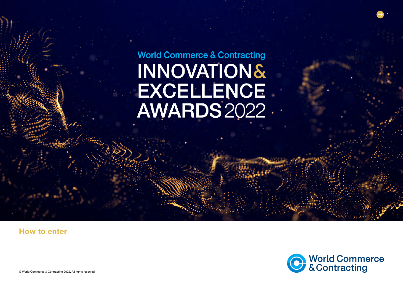**World Commerce & Contracting INNOVATION&** EXCELLENCE<br>AWARDS 2022

# How to enter



1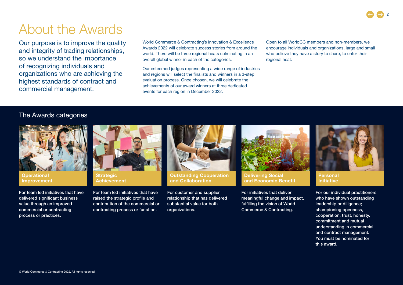# About the Awards

Our purpose is to improve the quality and integrity of trading relationships, so we understand the importance of recognizing individuals and organizations who are achieving the highest standards of contract and commercial management.

World Commerce & Contracting's Innovation & Excellence Awards 2022 will celebrate success stories from around the world. There will be three regional heats culminating in an overall global winner in each of the categories.

Our esteemed judges representing a wide range of industries and regions will select the finalists and winners in a 3-step evaluation process. Once chosen, we will celebrate the achievements of our award winners at three dedicated events for each region in December 2022.

Open to all WorldCC members and non-members, we encourage individuals and organizations, large and small who believe they have a story to share, to enter their regional heat.

## The Awards categories



**Operational** Improvement

For team led initiatives that have delivered significant business value through an improved commercial or contracting process or practices.



**Strategic** Achievement

For team led initiatives that have raised the strategic profile and contribution of the commercial or contracting process or function.



Outstanding Cooperation and Collaboration

For customer and supplier relationship that has delivered substantial value for both organizations.



Delivering Social and Economic Benefit

For initiatives that deliver meaningful change and impact, fulfilling the vision of World Commerce & Contracting.



Personal **Initiative** 

For our individual practitioners who have shown outstanding leadership or diligence; championing openness, cooperation, trust, honesty, commitment and mutual understanding in commercial and contract management. You must be nominated for this award.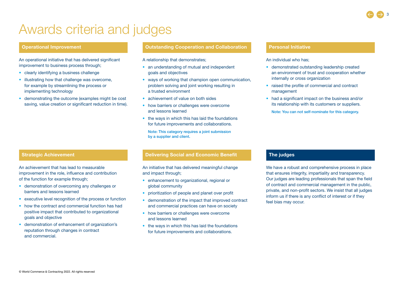# Awards criteria and judges

### Operational Improvement

An operational initiative that has delivered significant improvement to business process through;

- clearly identifying a business challenge
- illustrating how that challenge was overcome, for example by streamlining the process or implementing technology
- demonstrating the outcome (examples might be cost saving, value creation or significant reduction in time).

### Outstanding Cooperation and Collaboration

- A relationship that demonstrates;
- an understanding of mutual and independent goals and objectives
- ways of working that champion open communication, problem solving and joint working resulting in a trusted environment
- achievement of value on both sides
- how barriers or challenges were overcome and lessons learned
- the ways in which this has laid the foundations for future improvements and collaborations.

Note: This category requires a joint submission by a supplier and client.

### Strategic Achievement

An achievement that has lead to measurable improvement in the role, influence and contribution of the function for example through;

- demonstration of overcoming any challenges or barriers and lessons learned
- executive level recognition of the process or function
- how the contract and commercial function has had positive impact that contributed to organizational goals and objective
- demonstration of enhancement of organization's reputation through changes in contract and commercial.

### Delivering Social and Economic Benefit The judges

An initiative that has delivered meaningful change and impact through;

- enhancement to organizational, regional or global community
- prioritization of people and planet over profit
- demonstration of the impact that improved contract and commercial practices can have on society
- how barriers or challenges were overcome and lessons learned
- the ways in which this has laid the foundations for future improvements and collaborations.

### Personal Initiative

### An individual who has;

- demonstrated outstanding leadership created an environment of trust and cooperation whether internally or cross organization
- raised the profile of commercial and contract management
- had a significant impact on the business and/or its relationship with its customers or suppliers. Note: You can not self-nominate for this category.

We have a robust and comprehensive process in place that ensures integrity, impartiality and transparency. Our judges are leading professionals that span the field of contract and commercial management in the public, private, and non-profit sectors. We insist that all judges inform us if there is any conflict of interest or if they feel bias may occur.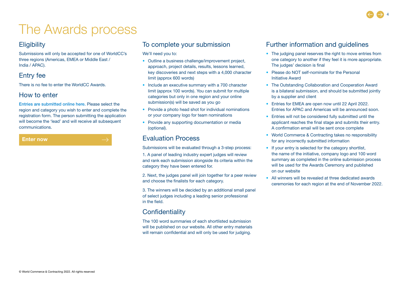# The Awards process

# **Eligibility**

Submissions will only be accepted for one of WorldCC's three regions (Americas, EMEA or Middle East / India / APAC).

# Entry fee

There is no fee to enter the WorldCC Awards.

## How to enter

[Entries are submitted online here.](https://pro.evalato.com/3093) Please select the region and category you wish to enter and complete the registration form. The person submitting the application will become the 'lead' and will receive all subsequent communications.

### [Enter now](https://www.worldcc.com/awards)

To complete your submission

We'll need you to:

- Outline a business challenge/improvement project, approach, project details, results, lessons learned, key discoveries and next steps with a 4,000 character limit (approx 600 words)
- Include an executive summary with a 700 character limit (approx 100 words). You can submit for multiple categories but only in one region and your online submission(s) will be saved as you go
- Provide a photo head shot for individual nominations or your company logo for team nominations
- Provide any supporting documentation or media (optional).

# Evaluation Process

Submissions will be evaluated through a 3-step process: 1. A panel of leading industry expert judges will review and rank each submission alongside its criteria within the category they have been entered for.

2. Next, the judges panel will join together for a peer review and choose the finalists for each category.

3. The winners will be decided by an additional small panel of select judges including a leading senior professional in the field.

# **Confidentiality**

The 100 word summaries of each shortlisted submission will be published on our website. All other entry materials will remain confidential and will only be used for judging.

## Further information and guidelines

- The judging panel reserves the right to move entries from one category to another if they feel it is more appropriate. The judges' decision is final
- Please do NOT self-nominate for the Personal Initiative Award
- The Outstanding Collaboration and Cooperation Award is a bilateral submission, and should be submitted jointly by a supplier and client
- Entries for EMEA are open now until 22 April 2022. Entries for APAC and Americas will be announced soon.
- Entries will not be considered fully submitted until the applicant reaches the final stage and submits their entry. A confirmation email will be sent once complete
- World Commerce & Contracting takes no responsibility for any incorrectly submitted information
- If your entry is selected for the category shortlist, the name of the initiative, company logo and 100 word summary as completed in the online submission process will be used for the Awards Ceremony and published on our website
- All winners will be revealed at three dedicated awards ceremonies for each region at the end of November 2022.